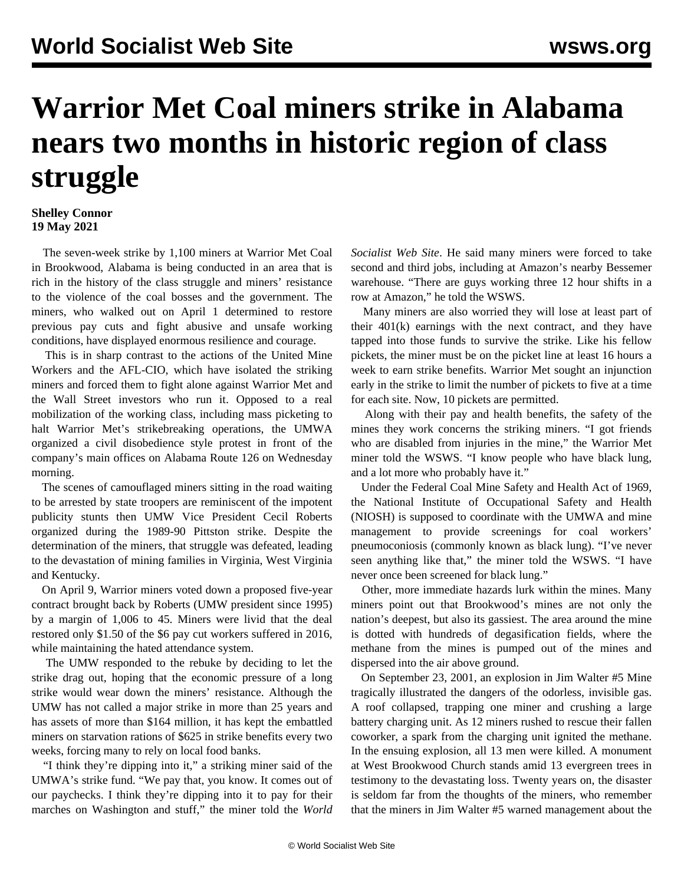## **Warrior Met Coal miners strike in Alabama nears two months in historic region of class struggle**

## **Shelley Connor 19 May 2021**

 The seven-week strike by 1,100 miners at Warrior Met Coal in Brookwood, Alabama is being conducted in an area that is rich in the history of the class struggle and miners' resistance to the violence of the coal bosses and the government. The miners, who walked out on April 1 determined to restore previous pay cuts and fight abusive and unsafe working conditions, have displayed enormous resilience and courage.

 This is in sharp contrast to the actions of the United Mine Workers and the AFL-CIO, which have isolated the striking miners and forced them to fight alone against Warrior Met and the Wall Street investors who run it. Opposed to a real mobilization of the working class, including mass picketing to halt Warrior Met's strikebreaking operations, the UMWA organized a civil disobedience style protest in front of the company's main offices on Alabama Route 126 on Wednesday morning.

 The scenes of camouflaged miners sitting in the road waiting to be arrested by state troopers are reminiscent of the impotent publicity stunts then UMW Vice President Cecil Roberts organized during the 1989-90 Pittston strike. Despite the determination of the miners, that struggle was defeated, leading to the devastation of mining families in Virginia, West Virginia and Kentucky.

 On April 9, Warrior miners voted down a proposed five-year contract brought back by Roberts (UMW president since 1995) by a margin of 1,006 to 45. Miners were livid that the deal restored only \$1.50 of the \$6 pay cut workers suffered in 2016, while maintaining the hated attendance system.

 The UMW responded to the rebuke by deciding to let the strike drag out, hoping that the economic pressure of a long strike would wear down the miners' resistance. Although the UMW has not called a major strike in more than 25 years and has assets of more than \$164 million, it has kept the embattled miners on starvation rations of \$625 in strike benefits every two weeks, forcing many to rely on local food banks.

 "I think they're dipping into it," a striking miner said of the UMWA's strike fund. "We pay that, you know. It comes out of our paychecks. I think they're dipping into it to pay for their marches on Washington and stuff," the miner told the *World* *Socialist Web Site*. He said many miners were forced to take second and third jobs, including at Amazon's nearby Bessemer warehouse. "There are guys working three 12 hour shifts in a row at Amazon," he told the WSWS.

 Many miners are also worried they will lose at least part of their 401(k) earnings with the next contract, and they have tapped into those funds to survive the strike. Like his fellow pickets, the miner must be on the picket line at least 16 hours a week to earn strike benefits. Warrior Met sought an injunction early in the strike to limit the number of pickets to five at a time for each site. Now, 10 pickets are permitted.

 Along with their pay and health benefits, the safety of the mines they work concerns the striking miners. "I got friends who are disabled from injuries in the mine," the Warrior Met miner told the WSWS. "I know people who have black lung, and a lot more who probably have it."

 Under the Federal Coal Mine Safety and Health Act of 1969, the National Institute of Occupational Safety and Health (NIOSH) is supposed to coordinate with the UMWA and mine management to provide screenings for coal workers' pneumoconiosis (commonly known as black lung). "I've never seen anything like that," the miner told the WSWS. "I have never once been screened for black lung."

 Other, more immediate hazards lurk within the mines. Many miners point out that Brookwood's mines are not only the nation's deepest, but also its gassiest. The area around the mine is dotted with hundreds of degasification fields, where the methane from the mines is pumped out of the mines and dispersed into the air above ground.

 On September 23, 2001, an explosion in Jim Walter #5 Mine tragically illustrated the dangers of the odorless, invisible gas. A roof collapsed, trapping one miner and crushing a large battery charging unit. As 12 miners rushed to rescue their fallen coworker, a spark from the charging unit ignited the methane. In the ensuing explosion, all 13 men were killed. A monument at West Brookwood Church stands amid 13 evergreen trees in testimony to the devastating loss. Twenty years on, the disaster is seldom far from the thoughts of the miners, who remember that the miners in Jim Walter #5 warned management about the